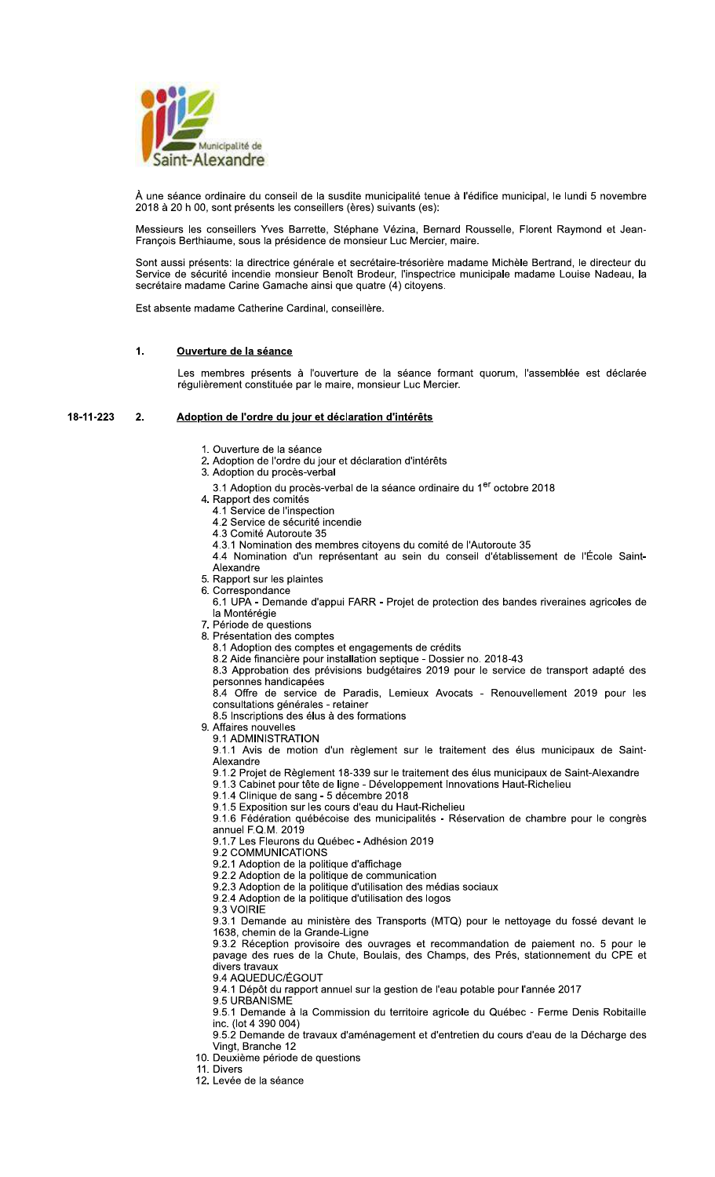

À une séance ordinaire du conseil de la susdite municipalité tenue à l'édifice municipal, le lundi 5 novembre 2018 à 20 h 00, sont présents les conseillers (ères) suivants (es):

Messieurs les conseillers Yves Barrette, Stéphane Vézina, Bernard Rousselle, Florent Raymond et Jean-<br>François Berthiaume, sous la présidence de monsieur Luc Mercier, maire.

Sont aussi présents: la directrice générale et secrétaire-trésorière madame Michèle Bertrand, le directeur du Service de sécurité incendie monsieur Benoît Brodeur, l'inspectrice municipale madame Louise Nadeau, la secrétaire madame Carine Gamache ainsi que quatre (4) citoyens.

Est absente madame Catherine Cardinal, conseillère.

#### $\mathbf{1}$ Ouverture de la séance

Les membres présents à l'ouverture de la séance formant quorum, l'assemblée est déclarée régulièrement constituée par le maire, monsieur Luc Mercier.

#### 18-11-223  $2.$ Adoption de l'ordre du jour et déclaration d'intérêts

- 1. Ouverture de la séance
- 2. Adoption de l'ordre du jour et déclaration d'intérêts
- 3. Adoption du procès-verbal
- 3.1 Adoption du procès-verbal de la séance ordinaire du 1<sup>er</sup> octobre 2018
- 4. Rapport des comités
	- 4.1 Service de l'inspection
	- 4.2 Service de sécurité incendie
	- 4.3 Comité Autoroute 35 4.3.1 Nomination des membres citoyens du comité de l'Autoroute 35
	- 4.4 Nomination d'un représentant au sein du conseil d'établissement de l'École Saint-
	- Alexandre
- 5. Rapport sur les plaintes
- 
- 6. Correspondance<br>6.1 UPA Demande d'appui FARR Projet de protection des bandes riveraines agricoles de la Montérégie
- 7. Période de questions
- 8. Présentation des comptes
	- 8.1 Adoption des comptes et engagements de crédits
	- 8.2 Aide financière pour installation septique Dossier no. 2018-43
	- 8.3 Approbation des prévisions budgétaires 2019 pour le service de transport adapté des personnes handicapées
	- 8.4 Offre de service de Paradis, Lemieux Avocats Renouvellement 2019 pour les consultations générales - retainer

8.5 Inscriptions des élus à des formations

- 9. Affaires nouvelles
	- 9.1 ADMINISTRATION

9.1.1 Avis de motion d'un règlement sur le traitement des élus municipaux de Saint-Alexandre

- 9.1.2 Projet de Règlement 18-339 sur le traitement des élus municipaux de Saint-Alexandre
- 9.1.3 Cabinet pour tête de ligne Développement Innovations Haut-Richelieu

9.1.4 Clinique de sang - 5 décembre 2018

9.1.5 Exposition sur les cours d'eau du Haut-Richelieu<br>9.1.6 Fédération québécoise des municipalités - Réservation de chambre pour le congrès annuel F.Q.M. 2019

9.1.7 Les Fleurons du Québec - Adhésion 2019

- 9.2 COMMUNICATIONS
- 9.2.1 Adoption de la politique d'affichage
- 9.2.2 Adoption de la politique de communication
- 9.2.3 Adoption de la politique d'utilisation des médias sociaux
- 9.2.4 Adoption de la politique d'utilisation des logos
- 9.3 VOIRIE

9.3.1 Demande au ministère des Transports (MTQ) pour le nettoyage du fossé devant le 1638, chemin de la Grande-Ligne

9.3.2 Réception provisoire des ouvrages et recommandation de paiement no. 5 pour le pavage des rues de la Chute, Boulais, des Champs, des Prés, stationnement du CPE et divers travaux

- 9.4 AQUEDUC/ÉGOUT
- 9.4.1 Dépôt du rapport annuel sur la gestion de l'eau potable pour l'année 2017
- 9.5 URBANISME

9.5.1 Demande à la Commission du territoire agricole du Québec - Ferme Denis Robitaille inc. (lot 4 390 004)

9.5.2 Demande de travaux d'aménagement et d'entretien du cours d'eau de la Décharge des Vingt, Branche 12

- 10. Deuxième période de questions
- 11. Divers
- 12. Levée de la séance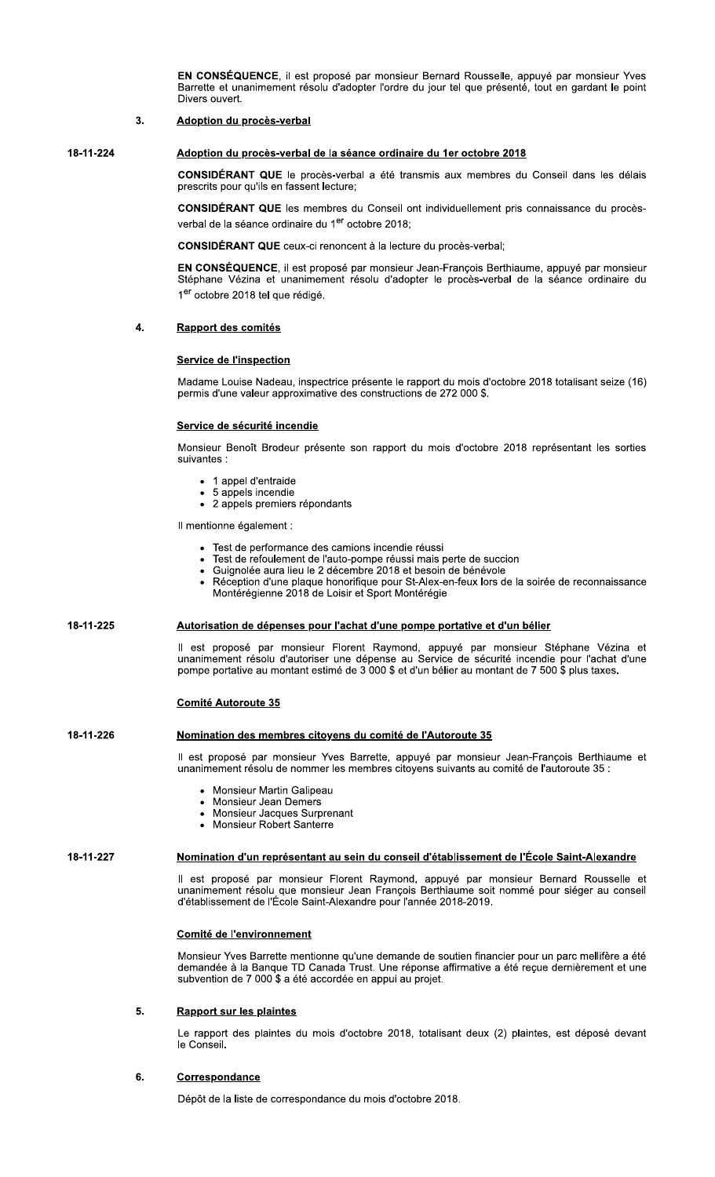EN CONSÉQUENCE, il est proposé par monsieur Bernard Rousselle, appuvé par monsieur Yves Barrette et unanimement résolu d'adopter l'ordre du jour tel que présenté, tout en gardant le point Divers ouvert.

#### 3. **Adoption du procès-verbal**

18-11-224

# Adoption du procès-verbal de la séance ordinaire du 1er octobre 2018

**CONSIDÉRANT QUE** le procès-verbal a été transmis aux membres du Conseil dans les délais prescrits pour qu'ils en fassent lecture;

CONSIDÉRANT QUE les membres du Conseil ont individuellement pris connaissance du procèsverbal de la séance ordinaire du 1<sup>er</sup> octobre 2018:

**CONSIDÉRANT QUE** ceux-ci renoncent à la lecture du procès-verbal;

EN CONSÉQUENCE, il est proposé par monsieur Jean-François Berthiaume, appuyé par monsieur<br>Stéphane Vézina et unanimement résolu d'adopter le procès-verbal de la séance ordinaire du 1er octobre 2018 tel que rédigé.

#### $\overline{\mathbf{4}}$ . Rapport des comités

# **Service de l'inspection**

Madame Louise Nadeau, inspectrice présente le rapport du mois d'octobre 2018 totalisant seize (16) permis d'une valeur approximative des constructions de 272 000 \$.

## Service de sécurité incendie

Monsieur Benoît Brodeur présente son rapport du mois d'octobre 2018 représentant les sorties suivantes :

- 1 appel d'entraide
- 5 appels incendie
- · 2 appels premiers répondants

Il mentionne également :

- Test de performance des camions incendie réussi
- Test de refoulement de l'auto-pompe réussi mais perte de succion<br>Guignolée aura lieu le 2 décembre 2018 et besoin de bénévole
- $\bullet$ Réception d'une plaque honorifique pour St-Alex-en-feux lors de la soirée de reconnaissance Montérégienne 2018 de Loisir et Sport Montérégie

### 18-11-225 Autorisation de dépenses pour l'achat d'une pompe portative et d'un bélier

Il est proposé par monsieur Florent Raymond, appuyé par monsieur Stéphane Vézina et unanimement résolu d'autoriser une dépense au Service de sécurité incendie pour l'achat d'une pompe portative au montant estimé de 3 000 \$ et d'un bélier au montant de 7 500 \$ plus taxes.

# **Comité Autoroute 35**

### 18-11-226 Nomination des membres citoyens du comité de l'Autoroute 35

Il est proposé par monsieur Yves Barrette, appuyé par monsieur Jean-François Berthiaume et unanimement résolu de nommer les membres citoyens suivants au comité de l'autoroute 35 :

- Monsieur Martin Galipeau  $\bullet$
- Monsieur Jean Demers  $\bullet$
- Monsieur Jacques Surprenant  $\bullet$
- Monsieur Robert Santerre

# 18-11-227

# Nomination d'un représentant au sein du conseil d'établissement de l'École Saint-Alexandre

Il est proposé par monsieur Florent Raymond, appuyé par monsieur Bernard Rousselle et unanimement résolu que monsieur Jean François Berthiaume soit nommé pour siéger au conseil d'établissement de l'École Saint-Alexandre pour l'année 2018-2019.

# Comité de l'environnement

Monsieur Yves Barrette mentionne qu'une demande de soutien financier pour un parc mellifère a été demandée à la Banque TD Canada Trust. Une réponse affirmative a été reçue dernièrement et une subvention de 7 000 \$ a été accordée en appui au projet.

#### 5. **Rapport sur les plaintes**

Le rapport des plaintes du mois d'octobre 2018, totalisant deux (2) plaintes, est déposé devant le Conseil.

#### 6. Correspondance

Dépôt de la liste de correspondance du mois d'octobre 2018.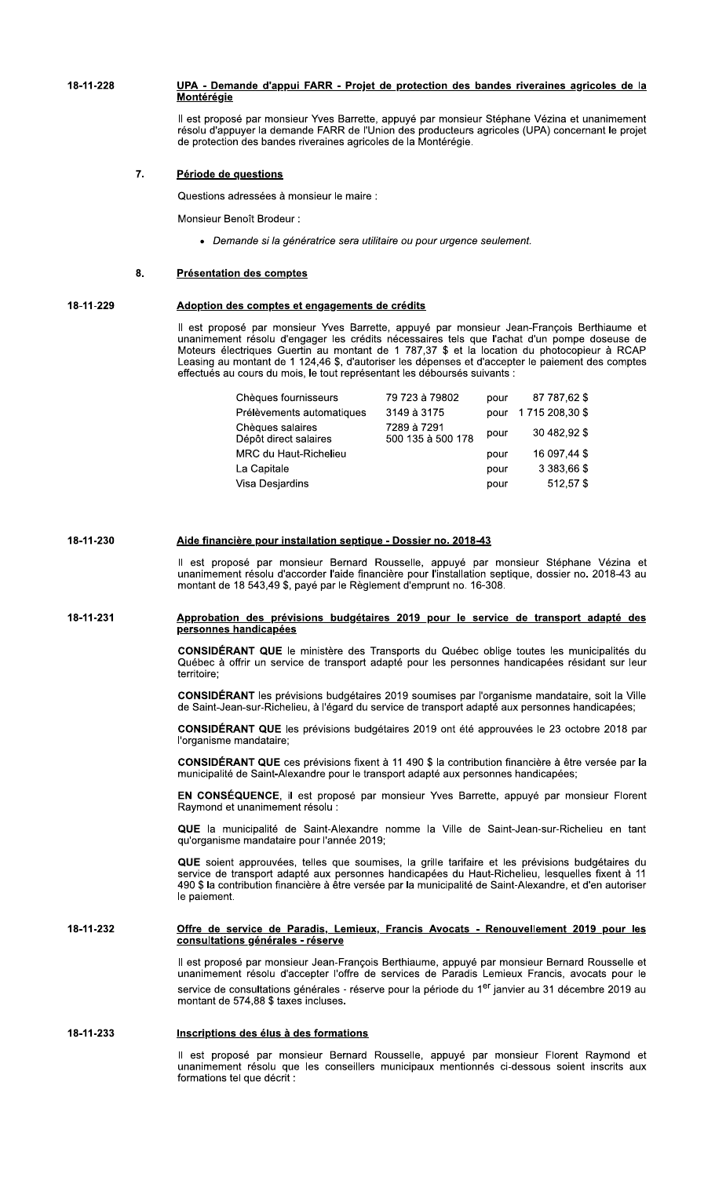18-11-228 UPA - Demande d'appui FARR - Projet de protection des bandes riveraines agricoles de la Montérégie

> Il est proposé par monsieur Yves Barrette, appuyé par monsieur Stéphane Vézina et unanimement résolu d'appuyer la demande FARR de l'Union des producteurs agricoles (UPA) concernant le projet de protection des bandes riveraines agricoles de la Montérégie.

#### $\overline{7}$ . Période de questions

Questions adressées à monsieur le maire :

Monsieur Benoît Brodeur :

· Demande si la génératrice sera utilitaire ou pour urgence seulement.

#### $\mathbf{R}$ **Présentation des comptes**

18-11-230

#### 18-11-229 Adoption des comptes et engagements de crédits

Il est proposé par monsieur Yves Barrette, appuyé par monsieur Jean-François Berthiaume et unanimement résolu d'engager les crédits nécessaires tels que l'achat d'un pompe doseuse de<br>Moteurs électriques Guertin au montant de 1 787,37 \$ et la location du photocopieur à RCAP Leasing au montant de 1 124,46 \$, d'autoriser les dépenses et d'accepter le paiement des comptes effectués au cours du mois, le tout représentant les déboursés suivants :

| Chèques fournisseurs                      | 79 723 à 79802                   | pour | 87 787,62 \$   |
|-------------------------------------------|----------------------------------|------|----------------|
| Prélèvements automatiques                 | 3149 à 3175                      | pour | 1715 208,30 \$ |
| Chèques salaires<br>Dépôt direct salaires | 7289 à 7291<br>500 135 à 500 178 | pour | 30 482,92 \$   |
| MRC du Haut-Richelieu                     |                                  | pour | 16 097,44 \$   |
| La Capitale                               |                                  | pour | 3 383,66 \$    |
| Visa Desjardins                           |                                  | pour | 512,57 \$      |

Il est proposé par monsieur Bernard Rousselle, appuyé par monsieur Stéphane Vézina et un cot propose par monsieur Bernard Teolosofie, appuyé par monsieur elephane vez la et<br>unanimement résolu d'accorder l'aide financière pour l'installation septique, dossier no. 2018-43 au<br>montant de 18 543,49 \$, payé par l

### 18-11-231 Approbation des prévisions budgétaires 2019 pour le service de transport adapté des personnes handicapées

Aide financière pour installation septique - Dossier no. 2018-43

CONSIDÉRANT QUE le ministère des Transports du Québec oblige toutes les municipalités du Québec à offrir un service de transport adapté pour les personnes handicapées résidant sur leur territoire:

CONSIDÉRANT les prévisions budgétaires 2019 soumises par l'organisme mandataire, soit la Ville de Saint-Jean-sur-Richelieu, à l'égard du service de transport adapté aux personnes handicapées;

CONSIDÉRANT QUE les prévisions budgétaires 2019 ont été approuvées le 23 octobre 2018 par l'organisme mandataire;

CONSIDÉRANT QUE ces prévisions fixent à 11 490 \$ la contribution financière à être versée par la municipalité de Saint-Alexandre pour le transport adapté aux personnes handicapées;

EN CONSÉQUENCE, il est proposé par monsieur Yves Barrette, appuyé par monsieur Florent Raymond et unanimement résolu :

QUE la municipalité de Saint-Alexandre nomme la Ville de Saint-Jean-sur-Richelieu en tant qu'organisme mandataire pour l'année 2019;

QUE soient approuvées, telles que soumises, la grille tarifaire et les prévisions budgétaires du service de transport adapté aux personnes handicapées du Haut-Richelieu, lesquelles fixent à 11 490 \$ la contribution financière à être versée par la municipalité de Saint-Alexandre, et d'en autoriser le paiement.

### 18-11-232 Offre de service de Paradis, Lemieux, Francis Avocats - Renouvellement 2019 pour les consultations générales - réserve

Il est proposé par monsieur Jean-François Berthiaume, appuyé par monsieur Bernard Rousselle et<br>unanimement résolu d'accepter l'offre de services de Paradis Lemieux Francis, avocats pour le service de consultations générales - réserve pour la période du 1<sup>er</sup> janvier au 31 décembre 2019 au montant de 574,88 \$ taxes incluses.

### 18-11-233 Inscriptions des élus à des formations

Il est proposé par monsieur Bernard Rousselle, appuyé par monsieur Florent Raymond et unanimement résolu que les conseillers municipaux mentionnés ci-dessous soient inscrits aux formations tel que décrit :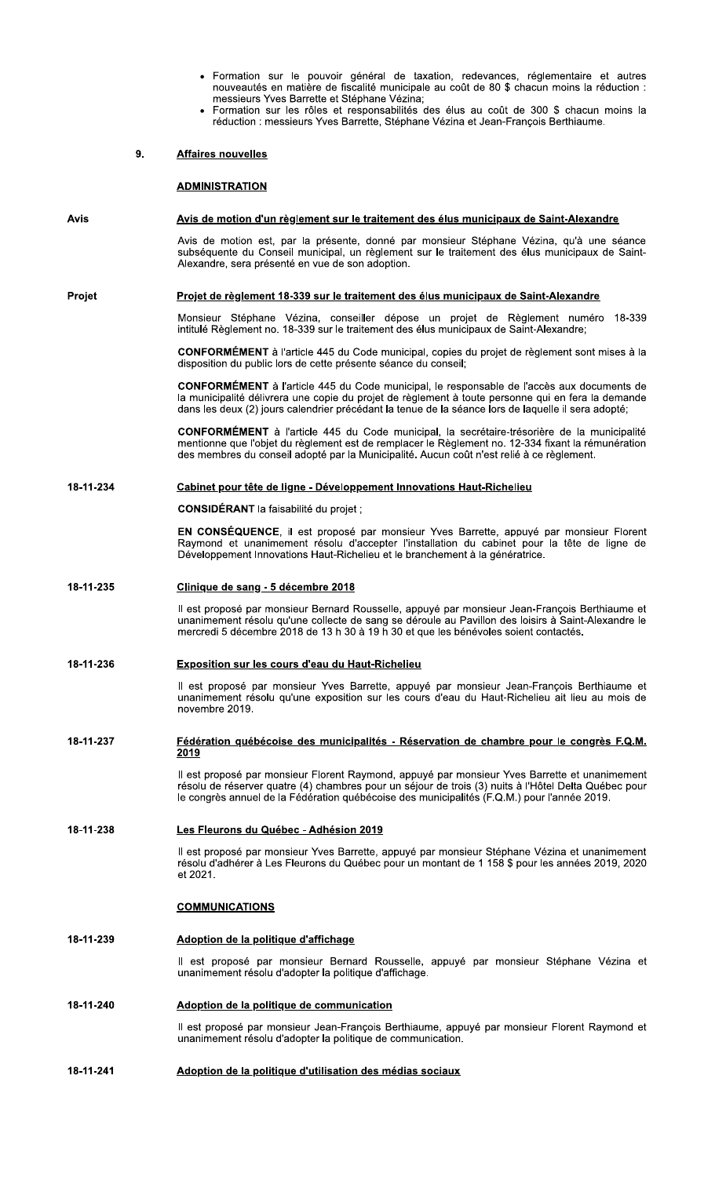- Formation sur le pouvoir général de taxation, redevances, réglementaire et autres  $\bullet$ nouveautés en matière de fiscalité municipale au coût de 80 \$ chacun moins la réduction : messieurs Yves Barrette et Stéphane Vézina;
- Formation sur les rôles et responsabilités des élus au coût de 300 \$ chacun moins la réduction : messieurs Yves Barrette, Stéphane Vézina et Jean-François Berthiaume.

#### 9. **Affaires nouvelles**

# **ADMINISTRATION**

#### Avis Avis de motion d'un règlement sur le traitement des élus municipaux de Saint-Alexandre

Avis de motion est, par la présente, donné par monsieur Stéphane Vézina, qu'à une séance subséquente du Conseil municipal, un règlement sur le traitement des élus municipaux de Saint-Alexandre, sera présenté en vue de son adoption.

#### **Projet** Projet de règlement 18-339 sur le traitement des élus municipaux de Saint-Alexandre

Monsieur Stéphane Vézina, conseiller dépose un projet de Règlement numéro 18-339 intitulé Règlement no. 18-339 sur le traitement des élus municipaux de Saint-Alexandre;

CONFORMÉMENT à l'article 445 du Code municipal, copies du projet de règlement sont mises à la disposition du public lors de cette présente séance du conseil;

CONFORMÉMENT à l'article 445 du Code municipal, le responsable de l'accès aux documents de la municipalité délivrera une copie du projet de règlement à toute personne qui en fera la demande dans les deux (2) jours calendrier précédant la tenue de la séance lors de laquelle il sera adopté;

**CONFORMÉMENT** à l'article 445 du Code municipal, la secrétaire-trésorière de la municipalité mentionne que l'objet du règlement est de remplacer le Règlement no. 12-334 fixant la rémunération des membres du conseil adopté par la Municipalité. Aucun coût n'est relié à ce règlement.

#### 18-11-234 Cabinet pour tête de ligne - Développement Innovations Haut-Richelieu

CONSIDÉRANT la faisabilité du projet ;

EN CONSÉQUENCE, il est proposé par monsieur Yves Barrette, appuyé par monsieur Florent Raymond et unanimement résolu d'accepter l'installation du cabinet pour la tête de ligne de<br>Développement Innovations Haut-Richelieu et le branchement à la génératrice.

#### 18-11-235 Clinique de sang - 5 décembre 2018

Il est proposé par monsieur Bernard Rousselle, appuyé par monsieur Jean-François Berthiaume et unanimement résolu qu'une collecte de sang se déroule au Pavillon des loisirs à Saint-Alexandre le mercredi 5 décembre 2018 de 13 h 30 à 19 h 30 et que les bénévoles soient contactés.

#### 18-11-236 **Exposition sur les cours d'eau du Haut-Richelieu**

Il est proposé par monsieur Yves Barrette, appuyé par monsieur Jean-François Berthiaume et unanimement résolu qu'une exposition sur les cours d'eau du Haut-Richelieu ait lieu au mois de novembre 2019.

### 18-11-237 Fédération québécoise des municipalités - Réservation de chambre pour le congrès F.Q.M. 2019

Il est proposé par monsieur Florent Raymond, appuyé par monsieur Yves Barrette et unanimement<br>résolu de réserver quatre (4) chambres pour un séjour de trois (3) nuits à l'Hôtel Delta Québec pour le congrès annuel de la Fédération québécoise des municipalités (F.Q.M.) pour l'année 2019.

#### 18-11-238 Les Fleurons du Québec - Adhésion 2019

Il est proposé par monsieur Yves Barrette, appuyé par monsieur Stéphane Vézina et unanimement résolu d'adhérer à Les Fleurons du Québec pour un montant de 1 158 \$ pour les années 2019, 2020 et 2021.

# **COMMUNICATIONS**

#### 18-11-239 Adoption de la politique d'affichage

Il est proposé par monsieur Bernard Rousselle, appuyé par monsieur Stéphane Vézina et unanimement résolu d'adopter la politique d'affichage.

#### 18-11-240 Adoption de la politique de communication

Il est proposé par monsieur Jean-François Berthiaume, appuyé par monsieur Florent Raymond et unanimement résolu d'adopter la politique de communication.

#### 18-11-241 Adoption de la politique d'utilisation des médias sociaux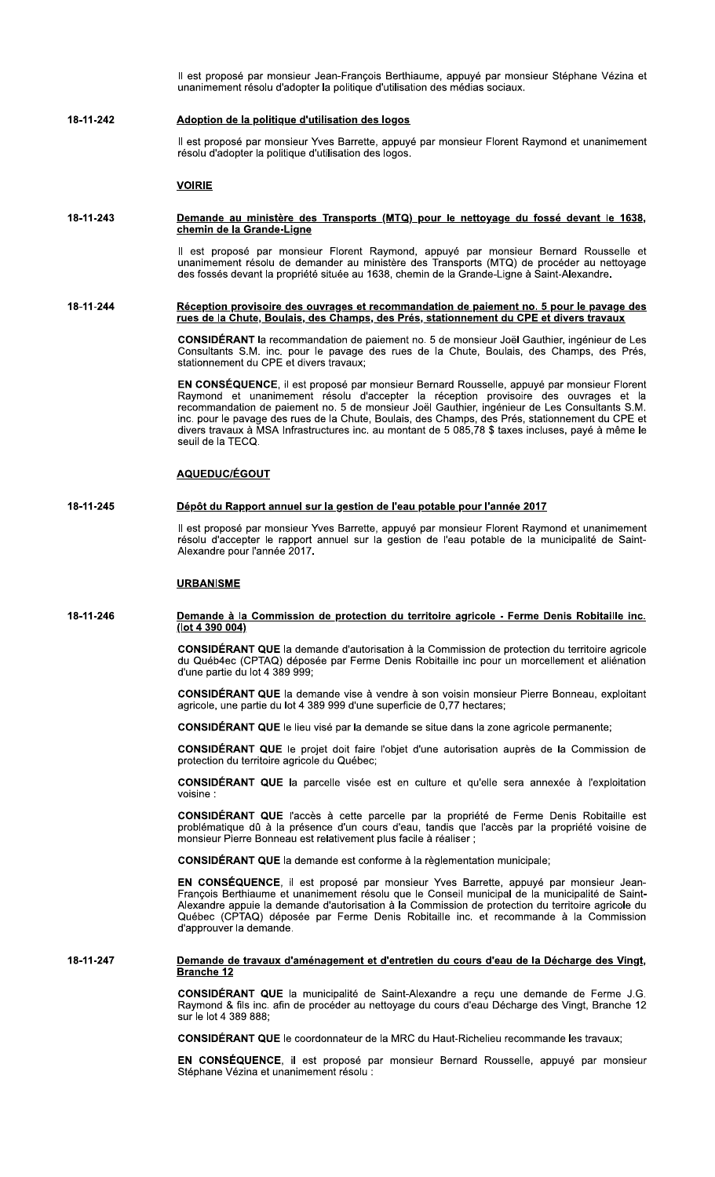Il est proposé par monsieur Jean-Francois Berthiaume, appuyé par monsieur Stéphane Vézina et unanimement résolu d'adopter la politique d'utilisation des médias sociaux.

### 18-11-242 Adoption de la politique d'utilisation des logos

Il est proposé par monsieur Yves Barrette, appuyé par monsieur Florent Raymond et unanimement résolu d'adopter la politique d'utilisation des logos.

# **VOIRIE**

### 18-11-243 Demande au ministère des Transports (MTQ) pour le nettoyage du fossé devant le 1638, chemin de la Grande-Ligne

Il est proposé par monsieur Florent Raymond, appuyé par monsieur Bernard Rousselle et unanimement résolu de demander au ministère des Transports (MTQ) de procéder au nettoyage des fossés devant la propriété située au 1638, chemin de la Grande-Ligne à Saint-Alexandre.

### 18-11-244 Réception provisoire des ouvrages et recommandation de paiement no. 5 pour le pavage des rues de la Chute, Boulais, des Champs, des Prés, stationnement du CPE et divers travaux

**CONSIDÉRANT** la recommandation de paiement no. 5 de monsieur Joël Gauthier, ingénieur de Les Consultants S.M. inc. pour le pavage des rues de la Chute, Boulais, des Champs, des Prés, stationnement du CPE et divers travaux;

EN CONSÉQUENCE, il est proposé par monsieur Bernard Rousselle, appuyé par monsieur Florent Raymond et unanimement résolu d'accepter la réception provisoire des ouvrages et la recommandation de paiement no. 5 de monsieur Joël Gauthier, ingénieur de Les Consultants S.M. inc. pour le pavage des rues de la Chute, Boulais, des Champs, des Prés, stationnement du CPE et divers travaux à MSA Infrastructures inc. au montant de 5 085,78 \$ taxes incluses, payé à même le seuil de la TFCO.

# <u>AQUEDUC/ÉGOUT</u>

#### 18-11-245 Dépôt du Rapport annuel sur la gestion de l'eau potable pour l'année 2017

Il est proposé par monsieur Yves Barrette, appuyé par monsieur Florent Raymond et unanimement résolu d'accepter le rapport annuel sur la gestion de l'eau potable de la municipalité de Saint-Alexandre pour l'année 2017.

# **URBANISME**

### 18-11-246 Demande à la Commission de protection du territoire agricole - Ferme Denis Robitaille inc. (lot 4 390 004)

CONSIDÉRANT QUE la demande d'autorisation à la Commission de protection du territoire agricole du Québ4ec (CPTAQ) déposée par Ferme Denis Robitaille inc pour un morcellement et aliénation<br>d'une partie du lot 4 389 999;

CONSIDÉRANT QUE la demande vise à vendre à son voisin monsieur Pierre Bonneau, exploitant agricole, une partie du lot 4 389 999 d'une superficie de 0,77 hectares;

**CONSIDÉRANT QUE** le lieu visé par la demande se situe dans la zone agricole permanente:

CONSIDÉRANT QUE le projet doit faire l'objet d'une autorisation auprès de la Commission de protection du territoire agricole du Québec;

CONSIDÉRANT QUE la parcelle visée est en culture et qu'elle sera annexée à l'exploitation voisine:

CONSIDÉRANT QUE l'accès à cette parcelle par la propriété de Ferme Denis Robitaille est problématique dû à la présence d'un cours d'eau, tandis que l'accès par la propriété voisine de monsieur Pierre Bonneau est relativement plus facile à réaliser ;

**CONSIDÉRANT QUE** la demande est conforme à la règlementation municipale:

EN CONSÉQUENCE, il est proposé par monsieur Yves Barrette, appuyé par monsieur Jean-François Berthiaume et unanimement résolu que le Conseil municipal de la municipalité de Saint-Alexandre appuie la demande d'autorisation à la Commission de protection du territoire agricole du<br>Québec (CPTAQ) déposée par Ferme Denis Robitaille inc. et recommande à la Commission d'approuver la demande.

### 18-11-247 Demande de travaux d'aménagement et d'entretien du cours d'eau de la Décharge des Vingt, **Branche 12**

CONSIDÉRANT QUE la municipalité de Saint-Alexandre a reçu une demande de Ferme J.G. Raymond & fils inc. afin de procéder au nettoyage du cours d'eau Décharge des Vingt, Branche 12 sur le lot 4 389 888:

**CONSIDÉRANT QUE** le coordonnateur de la MRC du Haut-Richelieu recommande les travaux:

EN CONSÉQUENCE, il est proposé par monsieur Bernard Rousselle, appuyé par monsieur Stéphane Vézina et unanimement résolu :